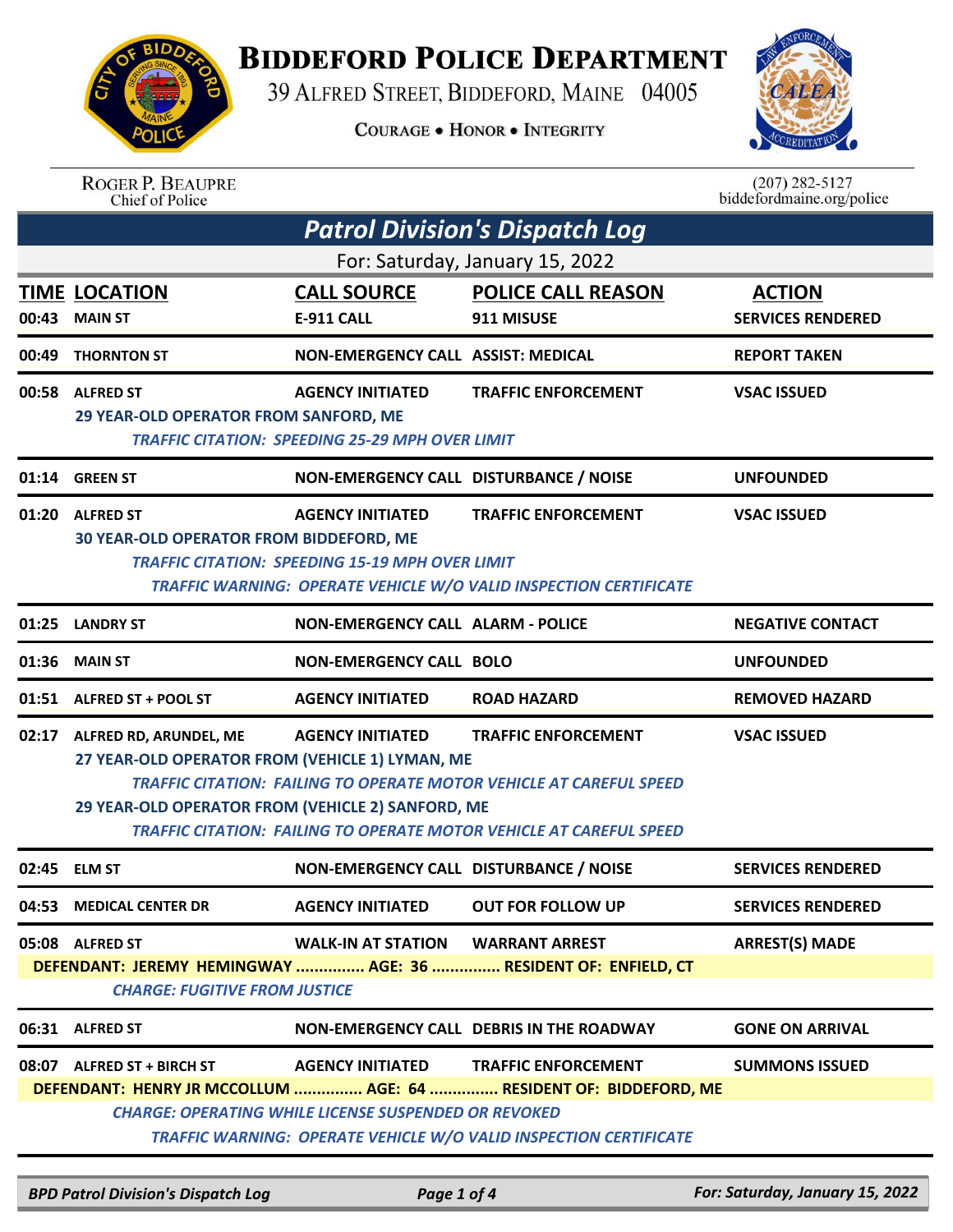

## **BIDDEFORD POLICE DEPARTMENT**

39 ALFRED STREET, BIDDEFORD, MAINE 04005

**COURAGE . HONOR . INTEGRITY** 



ROGER P. BEAUPRE<br>Chief of Police

 $(207)$  282-5127<br>biddefordmaine.org/police

| <b>Patrol Division's Dispatch Log</b> |                                                                                                                                      |                                                                                        |                                                                                                                                                                                        |                                           |  |
|---------------------------------------|--------------------------------------------------------------------------------------------------------------------------------------|----------------------------------------------------------------------------------------|----------------------------------------------------------------------------------------------------------------------------------------------------------------------------------------|-------------------------------------------|--|
| For: Saturday, January 15, 2022       |                                                                                                                                      |                                                                                        |                                                                                                                                                                                        |                                           |  |
| 00:43                                 | <b>TIME LOCATION</b><br><b>MAIN ST</b>                                                                                               | <b>CALL SOURCE</b><br><b>E-911 CALL</b>                                                | <b>POLICE CALL REASON</b><br>911 MISUSE                                                                                                                                                | <b>ACTION</b><br><b>SERVICES RENDERED</b> |  |
| 00:49                                 | <b>THORNTON ST</b>                                                                                                                   | NON-EMERGENCY CALL ASSIST: MEDICAL                                                     |                                                                                                                                                                                        | <b>REPORT TAKEN</b>                       |  |
|                                       | 00:58 ALFRED ST<br>29 YEAR-OLD OPERATOR FROM SANFORD, ME                                                                             | <b>AGENCY INITIATED</b><br><b>TRAFFIC CITATION: SPEEDING 25-29 MPH OVER LIMIT</b>      | <b>TRAFFIC ENFORCEMENT</b>                                                                                                                                                             | <b>VSAC ISSUED</b>                        |  |
|                                       | 01:14 GREEN ST                                                                                                                       | NON-EMERGENCY CALL DISTURBANCE / NOISE                                                 |                                                                                                                                                                                        | <b>UNFOUNDED</b>                          |  |
|                                       | 01:20 ALFRED ST<br>30 YEAR-OLD OPERATOR FROM BIDDEFORD, ME                                                                           | <b>AGENCY INITIATED</b><br><b>TRAFFIC CITATION: SPEEDING 15-19 MPH OVER LIMIT</b>      | <b>TRAFFIC ENFORCEMENT</b><br>TRAFFIC WARNING: OPERATE VEHICLE W/O VALID INSPECTION CERTIFICATE                                                                                        | <b>VSAC ISSUED</b>                        |  |
|                                       | 01:25 LANDRY ST                                                                                                                      | <b>NON-EMERGENCY CALL ALARM - POLICE</b>                                               |                                                                                                                                                                                        | <b>NEGATIVE CONTACT</b>                   |  |
| 01:36                                 | <b>MAIN ST</b>                                                                                                                       | <b>NON-EMERGENCY CALL BOLO</b>                                                         |                                                                                                                                                                                        | <b>UNFOUNDED</b>                          |  |
|                                       | 01:51 ALFRED ST + POOL ST                                                                                                            | <b>AGENCY INITIATED</b>                                                                | <b>ROAD HAZARD</b>                                                                                                                                                                     | <b>REMOVED HAZARD</b>                     |  |
|                                       | 02:17 ALFRED RD, ARUNDEL, ME<br>27 YEAR-OLD OPERATOR FROM (VEHICLE 1) LYMAN, ME<br>29 YEAR-OLD OPERATOR FROM (VEHICLE 2) SANFORD, ME | <b>AGENCY INITIATED</b>                                                                | <b>TRAFFIC ENFORCEMENT</b><br><b>TRAFFIC CITATION: FAILING TO OPERATE MOTOR VEHICLE AT CAREFUL SPEED</b><br><b>TRAFFIC CITATION: FAILING TO OPERATE MOTOR VEHICLE AT CAREFUL SPEED</b> | <b>VSAC ISSUED</b>                        |  |
| 02:45                                 | <b>ELM ST</b>                                                                                                                        | NON-EMERGENCY CALL DISTURBANCE / NOISE                                                 |                                                                                                                                                                                        | <b>SERVICES RENDERED</b>                  |  |
| 04:53                                 | <b>MEDICAL CENTER DR</b>                                                                                                             | <b>AGENCY INITIATED</b>                                                                | <b>OUT FOR FOLLOW UP</b>                                                                                                                                                               | <b>SERVICES RENDERED</b>                  |  |
|                                       | 05:08 ALFRED ST<br><b>CHARGE: FUGITIVE FROM JUSTICE</b>                                                                              | <b>WALK-IN AT STATION WARRANT ARREST</b>                                               | DEFENDANT: JEREMY HEMINGWAY  AGE: 36  RESIDENT OF: ENFIELD, CT                                                                                                                         | <b>ARREST(S) MADE</b>                     |  |
|                                       | 06:31 ALFRED ST                                                                                                                      |                                                                                        | NON-EMERGENCY CALL DEBRIS IN THE ROADWAY                                                                                                                                               | <b>GONE ON ARRIVAL</b>                    |  |
|                                       | 08:07 ALFRED ST + BIRCH ST                                                                                                           | <b>AGENCY INITIATED</b><br><b>CHARGE: OPERATING WHILE LICENSE SUSPENDED OR REVOKED</b> | <b>TRAFFIC ENFORCEMENT</b><br>DEFENDANT: HENRY JR MCCOLLUM  AGE: 64  RESIDENT OF: BIDDEFORD, ME<br><b>TRAFFIC WARNING: OPERATE VEHICLE W/O VALID INSPECTION CERTIFICATE</b>            | <b>SUMMONS ISSUED</b>                     |  |

*BPD Patrol Division's Dispatch Log Page 1 of 4 For: Saturday, January 15, 2022*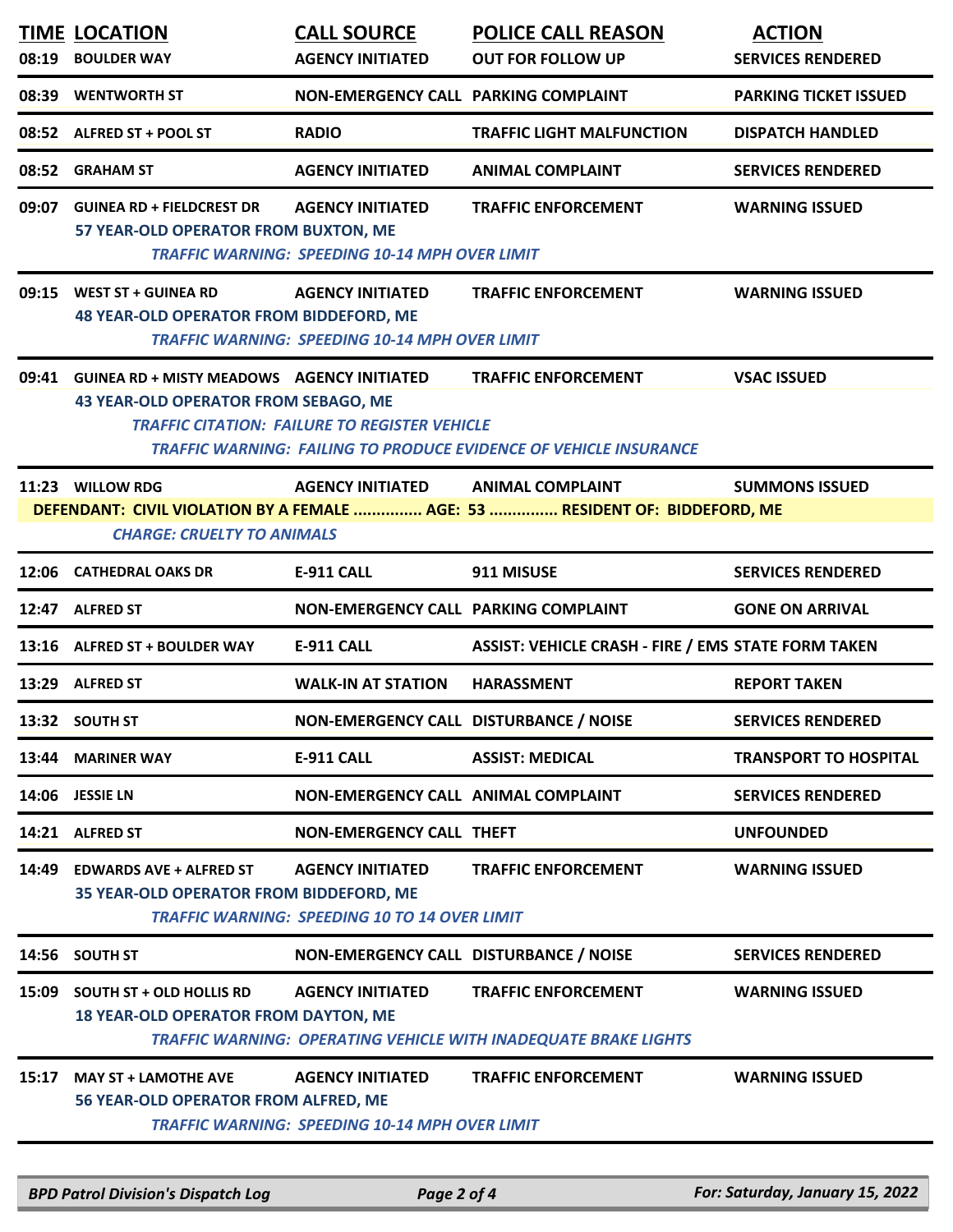| 08:19 | <b>TIME LOCATION</b><br><b>BOULDER WAY</b>                                                                                   | <b>CALL SOURCE</b><br><b>AGENCY INITIATED</b>                                    | <b>POLICE CALL REASON</b><br><b>OUT FOR FOLLOW UP</b>                                                  | <b>ACTION</b><br><b>SERVICES RENDERED</b> |
|-------|------------------------------------------------------------------------------------------------------------------------------|----------------------------------------------------------------------------------|--------------------------------------------------------------------------------------------------------|-------------------------------------------|
|       |                                                                                                                              |                                                                                  |                                                                                                        |                                           |
| 08:39 | <b>WENTWORTH ST</b>                                                                                                          | NON-EMERGENCY CALL PARKING COMPLAINT                                             |                                                                                                        | <b>PARKING TICKET ISSUED</b>              |
|       | 08:52 ALFRED ST + POOL ST                                                                                                    | <b>RADIO</b>                                                                     | <b>TRAFFIC LIGHT MALFUNCTION</b>                                                                       | <b>DISPATCH HANDLED</b>                   |
| 08:52 | <b>GRAHAM ST</b>                                                                                                             | <b>AGENCY INITIATED</b>                                                          | <b>ANIMAL COMPLAINT</b>                                                                                | <b>SERVICES RENDERED</b>                  |
| 09:07 | <b>GUINEA RD + FIELDCREST DR</b><br>57 YEAR-OLD OPERATOR FROM BUXTON, ME                                                     | <b>AGENCY INITIATED</b><br><b>TRAFFIC WARNING: SPEEDING 10-14 MPH OVER LIMIT</b> | <b>TRAFFIC ENFORCEMENT</b>                                                                             | <b>WARNING ISSUED</b>                     |
| 09:15 | <b>WEST ST + GUINEA RD</b><br><b>48 YEAR-OLD OPERATOR FROM BIDDEFORD, ME</b>                                                 | <b>AGENCY INITIATED</b><br><b>TRAFFIC WARNING: SPEEDING 10-14 MPH OVER LIMIT</b> | <b>TRAFFIC ENFORCEMENT</b>                                                                             | <b>WARNING ISSUED</b>                     |
| 09:41 | <b>GUINEA RD + MISTY MEADOWS AGENCY INITIATED</b><br><b>43 YEAR-OLD OPERATOR FROM SEBAGO, ME</b>                             | <b>TRAFFIC CITATION: FAILURE TO REGISTER VEHICLE</b>                             | <b>TRAFFIC ENFORCEMENT</b><br><b>TRAFFIC WARNING: FAILING TO PRODUCE EVIDENCE OF VEHICLE INSURANCE</b> | <b>VSAC ISSUED</b>                        |
|       | 11:23 WILLOW RDG<br><b>CHARGE: CRUELTY TO ANIMALS</b>                                                                        | <b>AGENCY INITIATED</b>                                                          | <b>ANIMAL COMPLAINT</b><br>DEFENDANT: CIVIL VIOLATION BY A FEMALE  AGE: 53  RESIDENT OF: BIDDEFORD, ME | <b>SUMMONS ISSUED</b>                     |
| 12:06 | <b>CATHEDRAL OAKS DR</b>                                                                                                     | <b>E-911 CALL</b>                                                                | 911 MISUSE                                                                                             | <b>SERVICES RENDERED</b>                  |
|       | 12:47 ALFRED ST                                                                                                              | NON-EMERGENCY CALL PARKING COMPLAINT                                             |                                                                                                        | <b>GONE ON ARRIVAL</b>                    |
|       | 13:16 ALFRED ST + BOULDER WAY                                                                                                | <b>E-911 CALL</b>                                                                | <b>ASSIST: VEHICLE CRASH - FIRE / EMS STATE FORM TAKEN</b>                                             |                                           |
| 13:29 | <b>ALFRED ST</b>                                                                                                             | <b>WALK-IN AT STATION</b>                                                        | <b>HARASSMENT</b>                                                                                      | <b>REPORT TAKEN</b>                       |
|       | 13:32 SOUTH ST                                                                                                               | NON-EMERGENCY CALL DISTURBANCE / NOISE                                           |                                                                                                        | <b>SERVICES RENDERED</b>                  |
| 13:44 | <b>MARINER WAY</b>                                                                                                           | E-911 CALL                                                                       | <b>ASSIST: MEDICAL</b>                                                                                 | <b>TRANSPORT TO HOSPITAL</b>              |
|       | 14:06 JESSIE LN                                                                                                              | NON-EMERGENCY CALL ANIMAL COMPLAINT                                              |                                                                                                        | <b>SERVICES RENDERED</b>                  |
|       | 14:21 ALFRED ST                                                                                                              | <b>NON-EMERGENCY CALL THEFT</b>                                                  |                                                                                                        | <b>UNFOUNDED</b>                          |
| 14:49 | <b>EDWARDS AVE + ALFRED ST</b><br>35 YEAR-OLD OPERATOR FROM BIDDEFORD, ME                                                    | <b>AGENCY INITIATED</b><br><b>TRAFFIC WARNING: SPEEDING 10 TO 14 OVER LIMIT</b>  | <b>TRAFFIC ENFORCEMENT</b>                                                                             | <b>WARNING ISSUED</b>                     |
|       | 14:56 SOUTH ST                                                                                                               | NON-EMERGENCY CALL DISTURBANCE / NOISE                                           |                                                                                                        | <b>SERVICES RENDERED</b>                  |
| 15:09 | <b>SOUTH ST + OLD HOLLIS RD</b><br><b>18 YEAR-OLD OPERATOR FROM DAYTON, ME</b>                                               | <b>AGENCY INITIATED</b>                                                          | <b>TRAFFIC ENFORCEMENT</b><br>TRAFFIC WARNING: OPERATING VEHICLE WITH INADEQUATE BRAKE LIGHTS          | <b>WARNING ISSUED</b>                     |
| 15:17 | <b>MAY ST + LAMOTHE AVE</b><br>56 YEAR-OLD OPERATOR FROM ALFRED, ME<br><b>TRAFFIC WARNING: SPEEDING 10-14 MPH OVER LIMIT</b> | <b>AGENCY INITIATED</b>                                                          | <b>TRAFFIC ENFORCEMENT</b>                                                                             | <b>WARNING ISSUED</b>                     |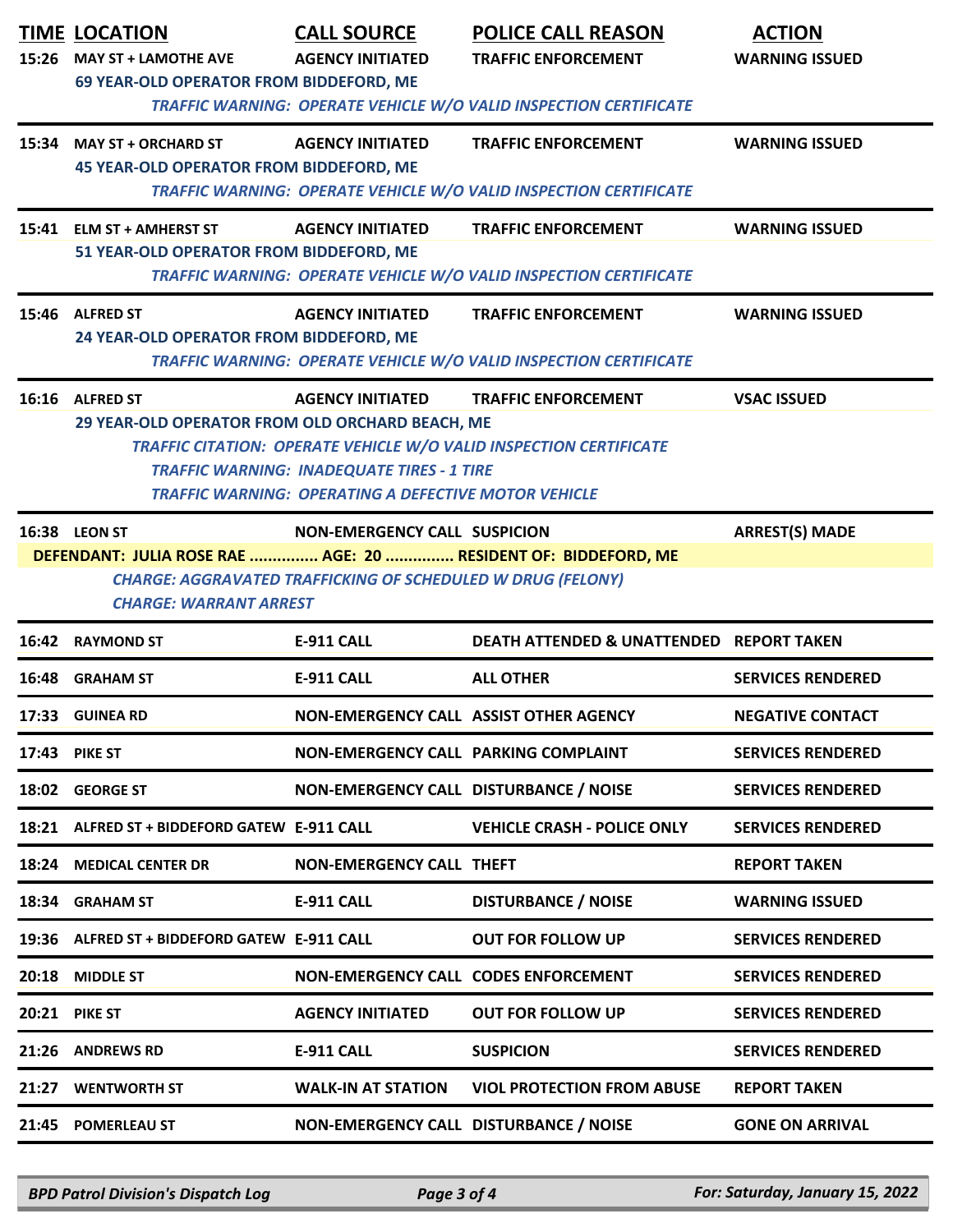|       | <b>TIME LOCATION</b><br>15:26 MAY ST + LAMOTHE AVE<br>69 YEAR-OLD OPERATOR FROM BIDDEFORD, ME                                                                         | <b>CALL SOURCE</b><br><b>AGENCY INITIATED</b>                                                                    | <b>POLICE CALL REASON</b><br><b>TRAFFIC ENFORCEMENT</b>                  | <b>ACTION</b><br><b>WARNING ISSUED</b> |
|-------|-----------------------------------------------------------------------------------------------------------------------------------------------------------------------|------------------------------------------------------------------------------------------------------------------|--------------------------------------------------------------------------|----------------------------------------|
|       |                                                                                                                                                                       |                                                                                                                  | <b>TRAFFIC WARNING: OPERATE VEHICLE W/O VALID INSPECTION CERTIFICATE</b> |                                        |
|       | 15:34 MAY ST + ORCHARD ST<br><b>45 YEAR-OLD OPERATOR FROM BIDDEFORD, ME</b>                                                                                           | <b>AGENCY INITIATED</b>                                                                                          | <b>TRAFFIC ENFORCEMENT</b>                                               | <b>WARNING ISSUED</b>                  |
|       |                                                                                                                                                                       |                                                                                                                  | <b>TRAFFIC WARNING: OPERATE VEHICLE W/O VALID INSPECTION CERTIFICATE</b> |                                        |
|       | 15:41 ELM ST + AMHERST ST                                                                                                                                             | <b>AGENCY INITIATED</b>                                                                                          | <b>TRAFFIC ENFORCEMENT</b>                                               | <b>WARNING ISSUED</b>                  |
|       | 51 YEAR-OLD OPERATOR FROM BIDDEFORD, ME                                                                                                                               |                                                                                                                  | <b>TRAFFIC WARNING: OPERATE VEHICLE W/O VALID INSPECTION CERTIFICATE</b> |                                        |
|       | 15:46 ALFRED ST                                                                                                                                                       | <b>AGENCY INITIATED</b>                                                                                          | <b>TRAFFIC ENFORCEMENT</b>                                               | <b>WARNING ISSUED</b>                  |
|       | 24 YEAR-OLD OPERATOR FROM BIDDEFORD, ME                                                                                                                               |                                                                                                                  | TRAFFIC WARNING: OPERATE VEHICLE W/O VALID INSPECTION CERTIFICATE        |                                        |
|       | 16:16 ALFRED ST                                                                                                                                                       | <b>AGENCY INITIATED</b>                                                                                          | <b>TRAFFIC ENFORCEMENT</b>                                               | <b>VSAC ISSUED</b>                     |
|       | 29 YEAR-OLD OPERATOR FROM OLD ORCHARD BEACH, ME                                                                                                                       | <b>TRAFFIC WARNING: INADEQUATE TIRES - 1 TIRE</b><br><b>TRAFFIC WARNING: OPERATING A DEFECTIVE MOTOR VEHICLE</b> | TRAFFIC CITATION: OPERATE VEHICLE W/O VALID INSPECTION CERTIFICATE       |                                        |
|       | 16:38 LEON ST                                                                                                                                                         | <b>NON-EMERGENCY CALL SUSPICION</b>                                                                              |                                                                          | <b>ARREST(S) MADE</b>                  |
|       | DEFENDANT: JULIA ROSE RAE  AGE: 20  RESIDENT OF: BIDDEFORD, ME<br><b>CHARGE: AGGRAVATED TRAFFICKING OF SCHEDULED W DRUG (FELONY)</b><br><b>CHARGE: WARRANT ARREST</b> |                                                                                                                  |                                                                          |                                        |
|       | 16:42 RAYMOND ST                                                                                                                                                      | <b>E-911 CALL</b>                                                                                                | DEATH ATTENDED & UNATTENDED REPORT TAKEN                                 |                                        |
| 16:48 | <b>GRAHAM ST</b>                                                                                                                                                      | <b>E-911 CALL</b>                                                                                                | <b>ALL OTHER</b>                                                         | <b>SERVICES RENDERED</b>               |
|       | 17:33 GUINEA RD                                                                                                                                                       | NON-EMERGENCY CALL ASSIST OTHER AGENCY                                                                           |                                                                          | <b>NEGATIVE CONTACT</b>                |
| 17:43 | <b>PIKE ST</b>                                                                                                                                                        | NON-EMERGENCY CALL PARKING COMPLAINT                                                                             |                                                                          | <b>SERVICES RENDERED</b>               |
|       | 18:02 GEORGE ST                                                                                                                                                       | NON-EMERGENCY CALL DISTURBANCE / NOISE                                                                           |                                                                          | <b>SERVICES RENDERED</b>               |
| 18:21 | ALFRED ST + BIDDEFORD GATEW E-911 CALL                                                                                                                                |                                                                                                                  | <b>VEHICLE CRASH - POLICE ONLY</b>                                       | <b>SERVICES RENDERED</b>               |
| 18:24 | <b>MEDICAL CENTER DR</b>                                                                                                                                              | <b>NON-EMERGENCY CALL THEFT</b>                                                                                  |                                                                          | <b>REPORT TAKEN</b>                    |
| 18:34 | <b>GRAHAM ST</b>                                                                                                                                                      | <b>E-911 CALL</b>                                                                                                | <b>DISTURBANCE / NOISE</b>                                               | <b>WARNING ISSUED</b>                  |
|       | 19:36 ALFRED ST + BIDDEFORD GATEW E-911 CALL                                                                                                                          |                                                                                                                  | <b>OUT FOR FOLLOW UP</b>                                                 | <b>SERVICES RENDERED</b>               |
| 20:18 | <b>MIDDLE ST</b>                                                                                                                                                      | NON-EMERGENCY CALL CODES ENFORCEMENT                                                                             |                                                                          | <b>SERVICES RENDERED</b>               |
| 20:21 | <b>PIKE ST</b>                                                                                                                                                        | <b>AGENCY INITIATED</b>                                                                                          | <b>OUT FOR FOLLOW UP</b>                                                 | <b>SERVICES RENDERED</b>               |
|       | 21:26 ANDREWS RD                                                                                                                                                      | <b>E-911 CALL</b>                                                                                                | <b>SUSPICION</b>                                                         | <b>SERVICES RENDERED</b>               |
| 21:27 | <b>WENTWORTH ST</b>                                                                                                                                                   | <b>WALK-IN AT STATION</b>                                                                                        | <b>VIOL PROTECTION FROM ABUSE</b>                                        | <b>REPORT TAKEN</b>                    |
| 21:45 | <b>POMERLEAU ST</b>                                                                                                                                                   | NON-EMERGENCY CALL DISTURBANCE / NOISE                                                                           |                                                                          | <b>GONE ON ARRIVAL</b>                 |